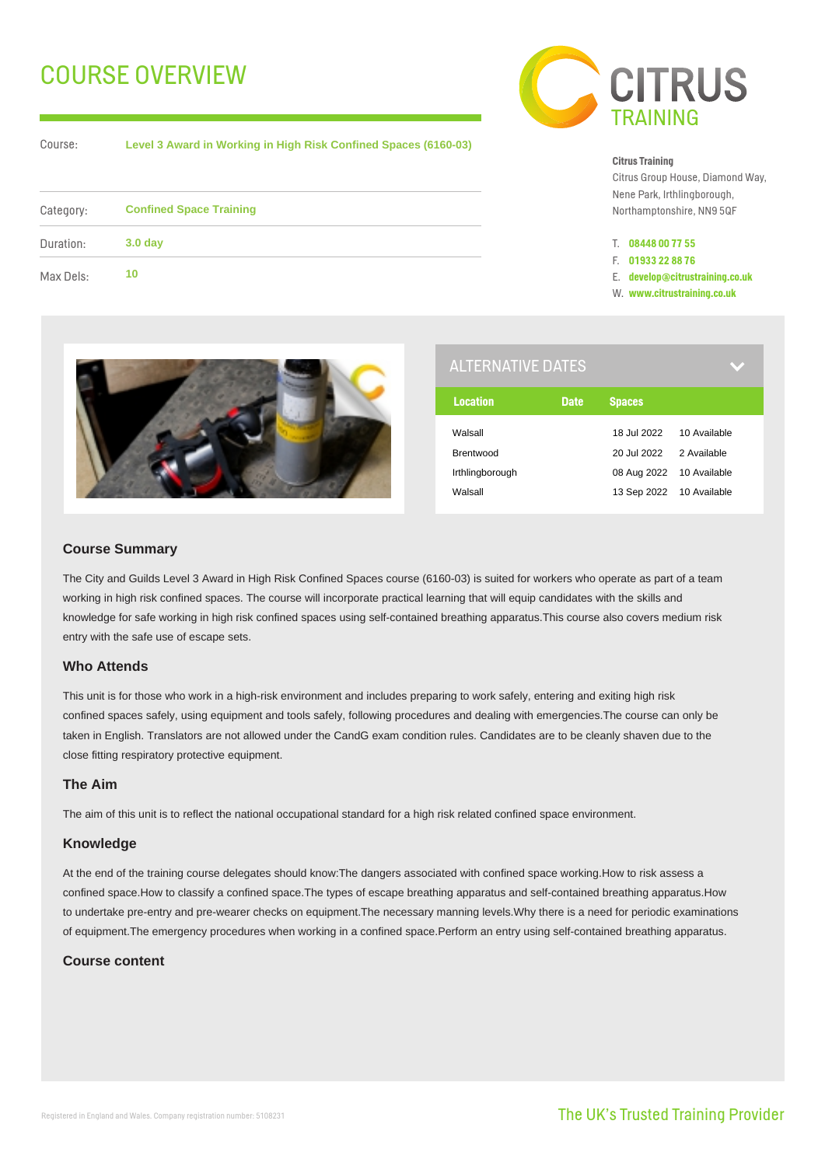# COURSE OVERVIEW

Course:

**Level 3 Award in Working in High Risk Confined Spaces (6160-03)**

| Category: | <b>Confined Space Training</b> |  |
|-----------|--------------------------------|--|
| Duration: | 3.0 <sub>day</sub>             |  |
| Max Dels: | 10                             |  |



#### **Citrus Training**

Citrus Group House, Diamond Way, Nene Park, Irthlingborough, Northamptonshire, NN9 5QF

- T. **08448 00 77 55**
- F. **01933 22 88 76**
- E. **develop@citrustraining.co.uk**
- W. **www.citrustraining.co.uk**



| <b>ALTERNATIVE DATES</b> |             |                          |              |
|--------------------------|-------------|--------------------------|--------------|
| <b>Location</b>          | <b>Date</b> | <b>Spaces</b>            |              |
| Walsall                  |             | 18 Jul 2022              | 10 Available |
| Brentwood                |             | 20 Jul 2022              | 2 Available  |
| Irthlingborough          |             | 08 Aug 2022 10 Available |              |
| Walsall                  |             | 13 Sep 2022 10 Available |              |

# **Course Summary**

The City and Guilds Level 3 Award in High Risk Confined Spaces course (6160-03) is suited for workers who operate as part of a team working in high risk confined spaces. The course will incorporate practical learning that will equip candidates with the skills and knowledge for safe working in high risk confined spaces using self-contained breathing apparatus.This course also covers medium risk entry with the safe use of escape sets.

## **Who Attends**

This unit is for those who work in a high-risk environment and includes preparing to work safely, entering and exiting high risk confined spaces safely, using equipment and tools safely, following procedures and dealing with emergencies.The course can only be taken in English. Translators are not allowed under the CandG exam condition rules. Candidates are to be cleanly shaven due to the close fitting respiratory protective equipment.

# **The Aim**

The aim of this unit is to reflect the national occupational standard for a high risk related confined space environment.

### **Knowledge**

At the end of the training course delegates should know:The dangers associated with confined space working.How to risk assess a confined space.How to classify a confined space.The types of escape breathing apparatus and self-contained breathing apparatus.How to undertake pre-entry and pre-wearer checks on equipment.The necessary manning levels.Why there is a need for periodic examinations of equipment.The emergency procedures when working in a confined space.Perform an entry using self-contained breathing apparatus.

# **Course content**